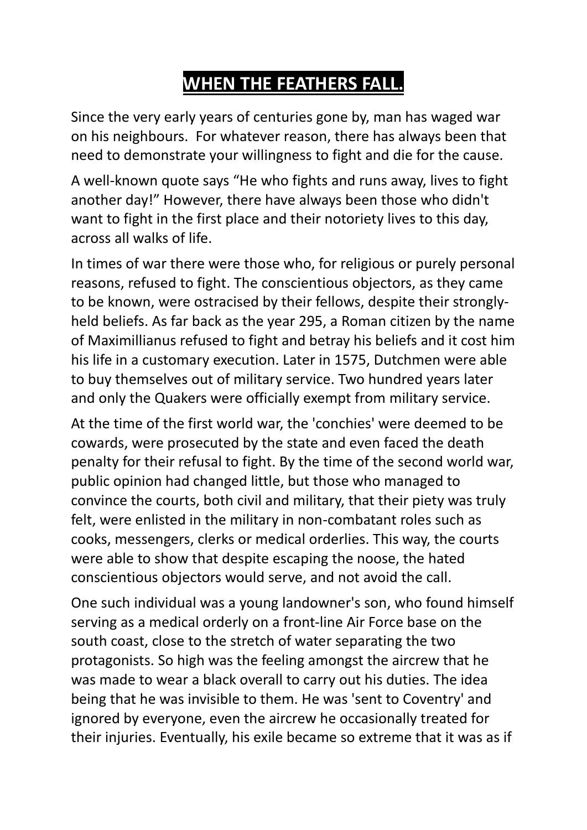## **WHEN THE FEATHERS FALL.**

Since the very early years of centuries gone by, man has waged war on his neighbours. For whatever reason, there has always been that need to demonstrate your willingness to fight and die for the cause.

A well-known quote says "He who fights and runs away, lives to fight another day!" However, there have always been those who didn't want to fight in the first place and their notoriety lives to this day, across all walks of life.

In times of war there were those who, for religious or purely personal reasons, refused to fight. The conscientious objectors, as they came to be known, were ostracised by their fellows, despite their stronglyheld beliefs. As far back as the year 295, a Roman citizen by the name of Maximillianus refused to fight and betray his beliefs and it cost him his life in a customary execution. Later in 1575, Dutchmen were able to buy themselves out of military service. Two hundred years later and only the Quakers were officially exempt from military service.

At the time of the first world war, the 'conchies' were deemed to be cowards, were prosecuted by the state and even faced the death penalty for their refusal to fight. By the time of the second world war, public opinion had changed little, but those who managed to convince the courts, both civil and military, that their piety was truly felt, were enlisted in the military in non-combatant roles such as cooks, messengers, clerks or medical orderlies. This way, the courts were able to show that despite escaping the noose, the hated conscientious objectors would serve, and not avoid the call.

One such individual was a young landowner's son, who found himself serving as a medical orderly on a front-line Air Force base on the south coast, close to the stretch of water separating the two protagonists. So high was the feeling amongst the aircrew that he was made to wear a black overall to carry out his duties. The idea being that he was invisible to them. He was 'sent to Coventry' and ignored by everyone, even the aircrew he occasionally treated for their injuries. Eventually, his exile became so extreme that it was as if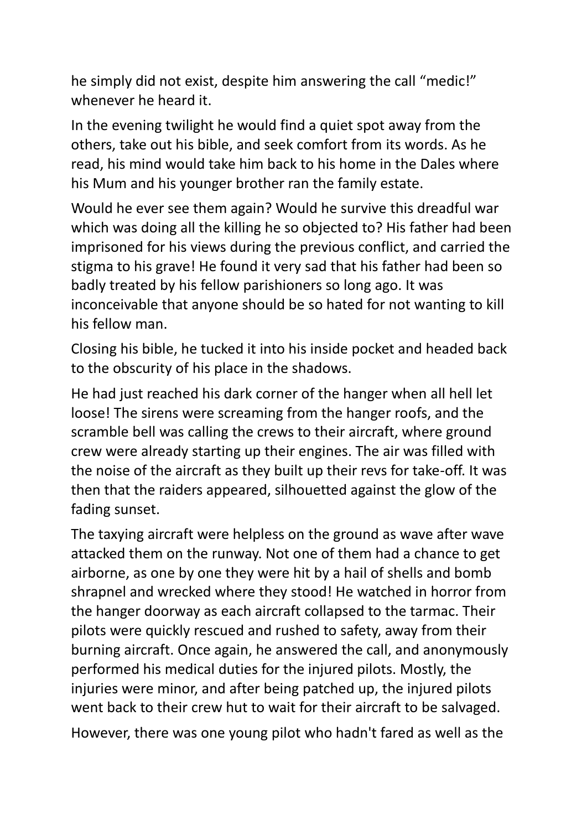he simply did not exist, despite him answering the call "medic!" whenever he heard it.

In the evening twilight he would find a quiet spot away from the others, take out his bible, and seek comfort from its words. As he read, his mind would take him back to his home in the Dales where his Mum and his younger brother ran the family estate.

Would he ever see them again? Would he survive this dreadful war which was doing all the killing he so objected to? His father had been imprisoned for his views during the previous conflict, and carried the stigma to his grave! He found it very sad that his father had been so badly treated by his fellow parishioners so long ago. It was inconceivable that anyone should be so hated for not wanting to kill his fellow man.

Closing his bible, he tucked it into his inside pocket and headed back to the obscurity of his place in the shadows.

He had just reached his dark corner of the hanger when all hell let loose! The sirens were screaming from the hanger roofs, and the scramble bell was calling the crews to their aircraft, where ground crew were already starting up their engines. The air was filled with the noise of the aircraft as they built up their revs for take-off. It was then that the raiders appeared, silhouetted against the glow of the fading sunset.

The taxying aircraft were helpless on the ground as wave after wave attacked them on the runway. Not one of them had a chance to get airborne, as one by one they were hit by a hail of shells and bomb shrapnel and wrecked where they stood! He watched in horror from the hanger doorway as each aircraft collapsed to the tarmac. Their pilots were quickly rescued and rushed to safety, away from their burning aircraft. Once again, he answered the call, and anonymously performed his medical duties for the injured pilots. Mostly, the injuries were minor, and after being patched up, the injured pilots went back to their crew hut to wait for their aircraft to be salvaged.

However, there was one young pilot who hadn't fared as well as the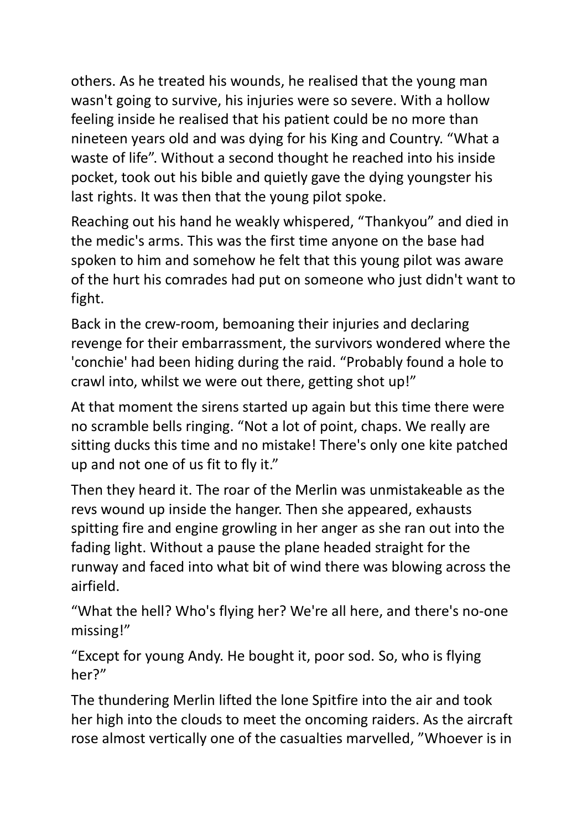others. As he treated his wounds, he realised that the young man wasn't going to survive, his injuries were so severe. With a hollow feeling inside he realised that his patient could be no more than nineteen years old and was dying for his King and Country. "What a waste of life". Without a second thought he reached into his inside pocket, took out his bible and quietly gave the dying youngster his last rights. It was then that the young pilot spoke.

Reaching out his hand he weakly whispered, "Thankyou" and died in the medic's arms. This was the first time anyone on the base had spoken to him and somehow he felt that this young pilot was aware of the hurt his comrades had put on someone who just didn't want to fight.

Back in the crew-room, bemoaning their injuries and declaring revenge for their embarrassment, the survivors wondered where the 'conchie' had been hiding during the raid. "Probably found a hole to crawl into, whilst we were out there, getting shot up!"

At that moment the sirens started up again but this time there were no scramble bells ringing. "Not a lot of point, chaps. We really are sitting ducks this time and no mistake! There's only one kite patched up and not one of us fit to fly it."

Then they heard it. The roar of the Merlin was unmistakeable as the revs wound up inside the hanger. Then she appeared, exhausts spitting fire and engine growling in her anger as she ran out into the fading light. Without a pause the plane headed straight for the runway and faced into what bit of wind there was blowing across the airfield.

"What the hell? Who's flying her? We're all here, and there's no-one missing!"

"Except for young Andy. He bought it, poor sod. So, who is flying her?"

The thundering Merlin lifted the lone Spitfire into the air and took her high into the clouds to meet the oncoming raiders. As the aircraft rose almost vertically one of the casualties marvelled, "Whoever is in